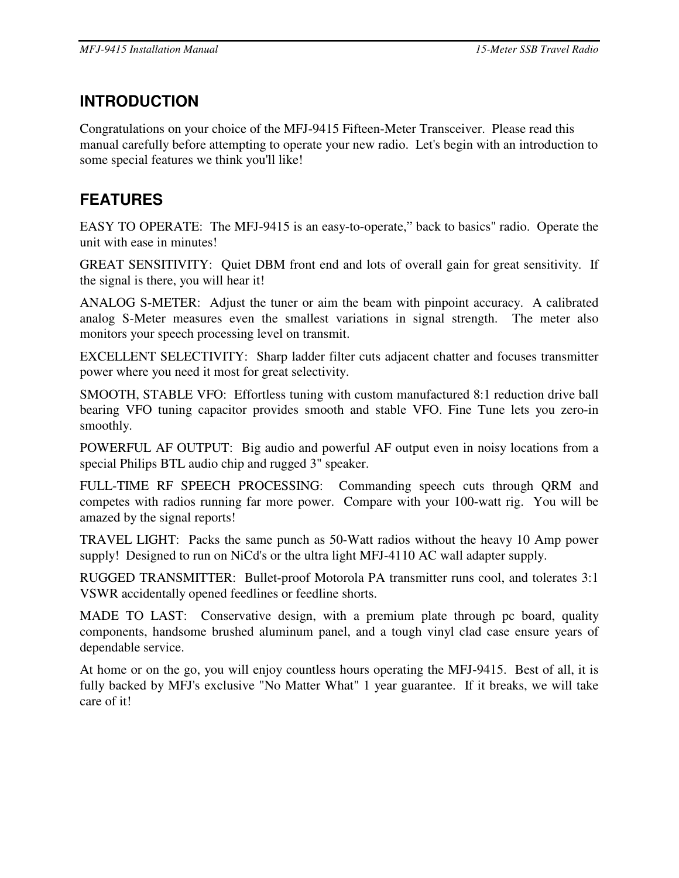# **INTRODUCTION**

Congratulations on your choice of the MFJ-9415 Fifteen-Meter Transceiver. Please read this manual carefully before attempting to operate your new radio. Let's begin with an introduction to some special features we think you'll like!

# **FEATURES**

EASY TO OPERATE: The MFJ-9415 is an easy-to-operate," back to basics" radio. Operate the unit with ease in minutes!

GREAT SENSITIVITY: Quiet DBM front end and lots of overall gain for great sensitivity. If the signal is there, you will hear it!

ANALOG S-METER: Adjust the tuner or aim the beam with pinpoint accuracy. A calibrated analog S-Meter measures even the smallest variations in signal strength. The meter also monitors your speech processing level on transmit.

EXCELLENT SELECTIVITY: Sharp ladder filter cuts adjacent chatter and focuses transmitter power where you need it most for great selectivity.

SMOOTH, STABLE VFO: Effortless tuning with custom manufactured 8:1 reduction drive ball bearing VFO tuning capacitor provides smooth and stable VFO. Fine Tune lets you zero-in smoothly.

POWERFUL AF OUTPUT: Big audio and powerful AF output even in noisy locations from a special Philips BTL audio chip and rugged 3" speaker.

FULL-TIME RF SPEECH PROCESSING: Commanding speech cuts through QRM and competes with radios running far more power. Compare with your 100-watt rig. You will be amazed by the signal reports!

TRAVEL LIGHT: Packs the same punch as 50-Watt radios without the heavy 10 Amp power supply! Designed to run on NiCd's or the ultra light MFJ-4110 AC wall adapter supply.

RUGGED TRANSMITTER: Bullet-proof Motorola PA transmitter runs cool, and tolerates 3:1 VSWR accidentally opened feedlines or feedline shorts.

MADE TO LAST: Conservative design, with a premium plate through pc board, quality components, handsome brushed aluminum panel, and a tough vinyl clad case ensure years of dependable service.

At home or on the go, you will enjoy countless hours operating the MFJ-9415. Best of all, it is fully backed by MFJ's exclusive "No Matter What" 1 year guarantee. If it breaks, we will take care of it!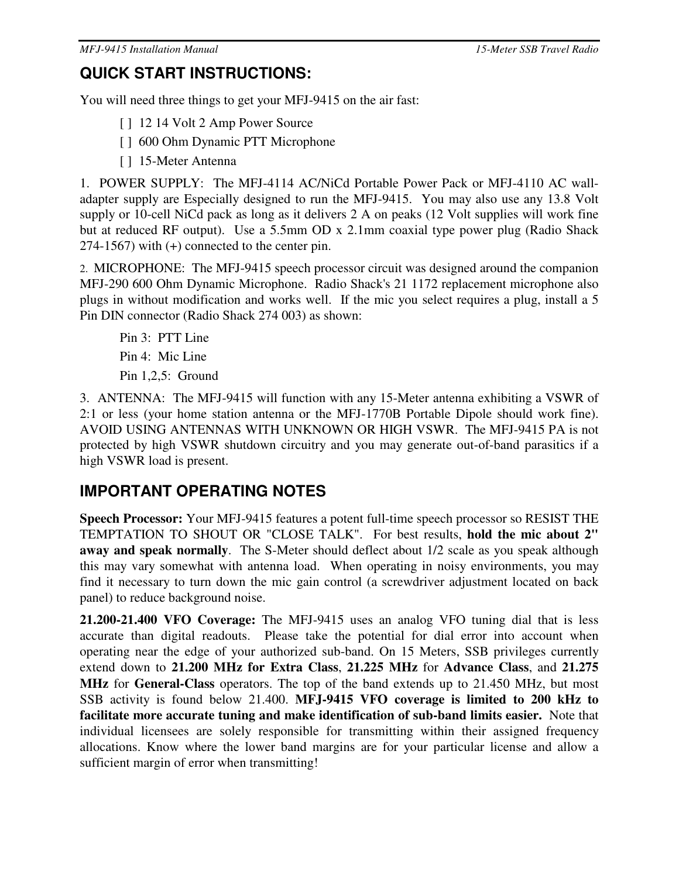# **QUICK START INSTRUCTIONS:**

You will need three things to get your MFJ-9415 on the air fast:

[ ] 12 14 Volt 2 Amp Power Source

- [ ] 600 Ohm Dynamic PTT Microphone
- [ ] 15-Meter Antenna

1. POWER SUPPLY: The MFJ-4114 AC/NiCd Portable Power Pack or MFJ-4110 AC walladapter supply are Especially designed to run the MFJ-9415. You may also use any 13.8 Volt supply or 10-cell NiCd pack as long as it delivers 2 A on peaks (12 Volt supplies will work fine but at reduced RF output). Use a 5.5mm OD x 2.1mm coaxial type power plug (Radio Shack 274-1567) with (+) connected to the center pin.

2. MICROPHONE: The MFJ-9415 speech processor circuit was designed around the companion MFJ-290 600 Ohm Dynamic Microphone. Radio Shack's 21 1172 replacement microphone also plugs in without modification and works well. If the mic you select requires a plug, install a 5 Pin DIN connector (Radio Shack 274 003) as shown:

Pin 3: PTT Line Pin 4: Mic Line Pin 1,2,5: Ground

3. ANTENNA: The MFJ-9415 will function with any 15-Meter antenna exhibiting a VSWR of 2:1 or less (your home station antenna or the MFJ-1770B Portable Dipole should work fine). AVOID USING ANTENNAS WITH UNKNOWN OR HIGH VSWR. The MFJ-9415 PA is not protected by high VSWR shutdown circuitry and you may generate out-of-band parasitics if a high VSWR load is present.

## **IMPORTANT OPERATING NOTES**

**Speech Processor:** Your MFJ-9415 features a potent full-time speech processor so RESIST THE TEMPTATION TO SHOUT OR "CLOSE TALK". For best results, **hold the mic about 2" away and speak normally**. The S-Meter should deflect about 1/2 scale as you speak although this may vary somewhat with antenna load. When operating in noisy environments, you may find it necessary to turn down the mic gain control (a screwdriver adjustment located on back panel) to reduce background noise.

**21.200-21.400 VFO Coverage:** The MFJ-9415 uses an analog VFO tuning dial that is less accurate than digital readouts. Please take the potential for dial error into account when operating near the edge of your authorized sub-band. On 15 Meters, SSB privileges currently extend down to **21.200 MHz for Extra Class**, **21.225 MHz** for **Advance Class**, and **21.275 MHz** for **General-Class** operators. The top of the band extends up to 21.450 MHz, but most SSB activity is found below 21.400. **MFJ-9415 VFO coverage is limited to 200 kHz to facilitate more accurate tuning and make identification of sub-band limits easier.** Note that individual licensees are solely responsible for transmitting within their assigned frequency allocations. Know where the lower band margins are for your particular license and allow a sufficient margin of error when transmitting!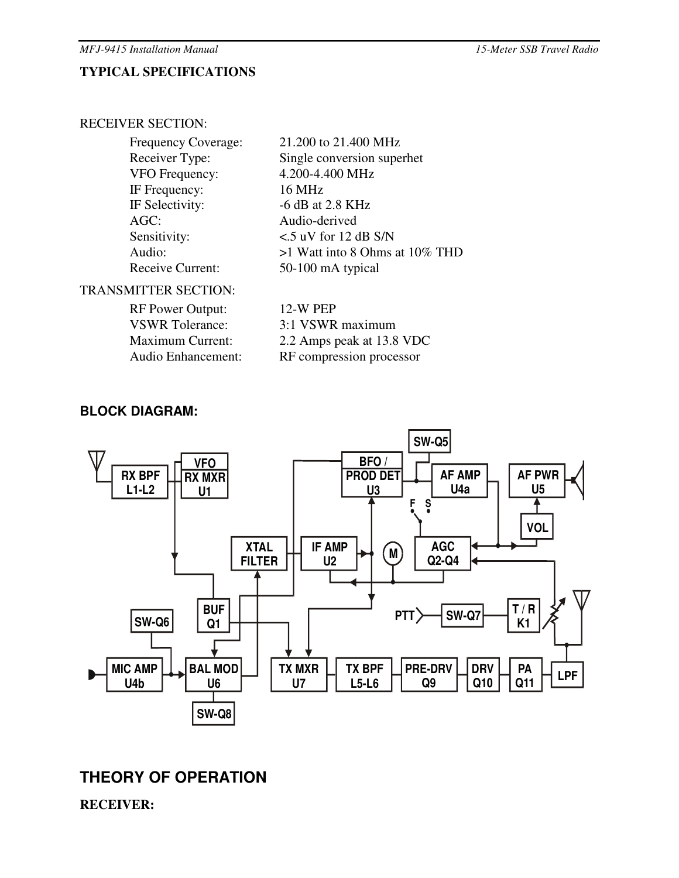### **TYPICAL SPECIFICATIONS**

#### RECEIVER SECTION:

| <b>Frequency Coverage:</b> | 21.200 to 21.400 MHz             |
|----------------------------|----------------------------------|
| Receiver Type:             | Single conversion superhet       |
| <b>VFO</b> Frequency:      | 4.200-4.400 MHz                  |
| IF Frequency:              | 16 MHz                           |
| IF Selectivity:            | $-6$ dB at 2.8 KHz               |
| AGC:                       | Audio-derived                    |
| Sensitivity:               | $<$ 5 uV for 12 dB S/N           |
| Audio:                     | $>1$ Watt into 8 Ohms at 10% THD |
| <b>Receive Current:</b>    | 50-100 mA typical                |
|                            |                                  |

### TRANSMITTER SECTION:

| <b>RF Power Output:</b>   | 12-W PEP                  |
|---------------------------|---------------------------|
| <b>VSWR</b> Tolerance:    | 3:1 VSWR maximum          |
| <b>Maximum Current:</b>   | 2.2 Amps peak at 13.8 VDC |
| <b>Audio Enhancement:</b> | RF compression processor  |
|                           |                           |

### **BLOCK DIAGRAM:**



## **THEORY OF OPERATION**

**RECEIVER:**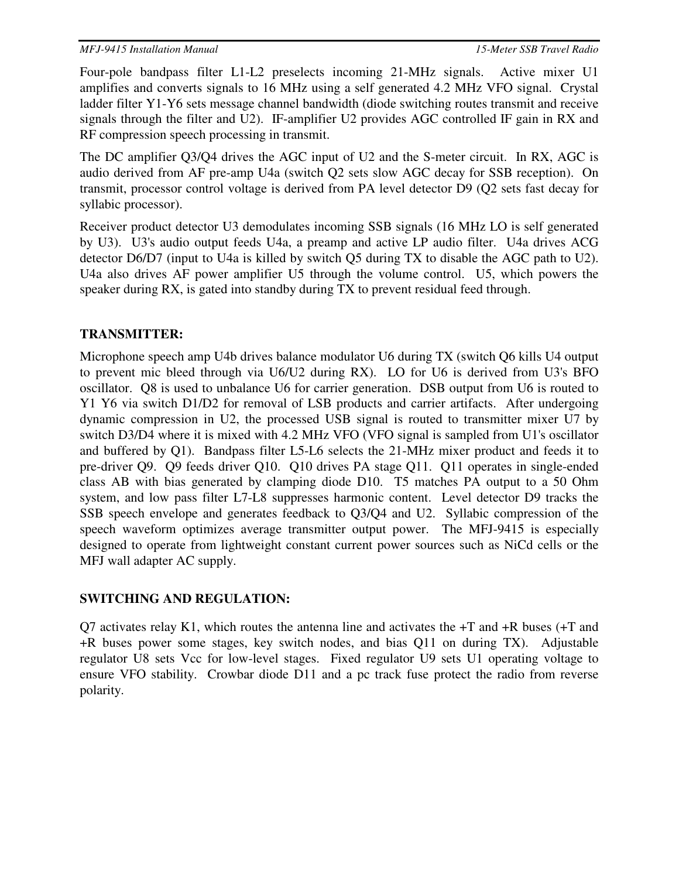Four-pole bandpass filter L1-L2 preselects incoming 21-MHz signals. Active mixer U1 amplifies and converts signals to 16 MHz using a self generated 4.2 MHz VFO signal. Crystal ladder filter Y1-Y6 sets message channel bandwidth (diode switching routes transmit and receive signals through the filter and U2). IF-amplifier U2 provides AGC controlled IF gain in RX and RF compression speech processing in transmit.

The DC amplifier Q3/Q4 drives the AGC input of U2 and the S-meter circuit. In RX, AGC is audio derived from AF pre-amp U4a (switch Q2 sets slow AGC decay for SSB reception). On transmit, processor control voltage is derived from PA level detector D9 (Q2 sets fast decay for syllabic processor).

Receiver product detector U3 demodulates incoming SSB signals (16 MHz LO is self generated by U3). U3's audio output feeds U4a, a preamp and active LP audio filter. U4a drives ACG detector D6/D7 (input to U4a is killed by switch Q5 during TX to disable the AGC path to U2). U4a also drives AF power amplifier U5 through the volume control. U5, which powers the speaker during RX, is gated into standby during TX to prevent residual feed through.

### **TRANSMITTER:**

Microphone speech amp U4b drives balance modulator U6 during TX (switch Q6 kills U4 output to prevent mic bleed through via U6/U2 during RX). LO for U6 is derived from U3's BFO oscillator. Q8 is used to unbalance U6 for carrier generation. DSB output from U6 is routed to Y1 Y6 via switch D1/D2 for removal of LSB products and carrier artifacts. After undergoing dynamic compression in U2, the processed USB signal is routed to transmitter mixer U7 by switch D3/D4 where it is mixed with 4.2 MHz VFO (VFO signal is sampled from U1's oscillator and buffered by Q1). Bandpass filter L5-L6 selects the 21-MHz mixer product and feeds it to pre-driver Q9. Q9 feeds driver Q10. Q10 drives PA stage Q11. Q11 operates in single-ended class AB with bias generated by clamping diode D10. T5 matches PA output to a 50 Ohm system, and low pass filter L7-L8 suppresses harmonic content. Level detector D9 tracks the SSB speech envelope and generates feedback to Q3/Q4 and U2. Syllabic compression of the speech waveform optimizes average transmitter output power. The MFJ-9415 is especially designed to operate from lightweight constant current power sources such as NiCd cells or the MFJ wall adapter AC supply.

### **SWITCHING AND REGULATION:**

Q7 activates relay K1, which routes the antenna line and activates the  $+T$  and  $+R$  buses ( $+T$  and +R buses power some stages, key switch nodes, and bias Q11 on during TX). Adjustable regulator U8 sets Vcc for low-level stages. Fixed regulator U9 sets U1 operating voltage to ensure VFO stability. Crowbar diode D11 and a pc track fuse protect the radio from reverse polarity.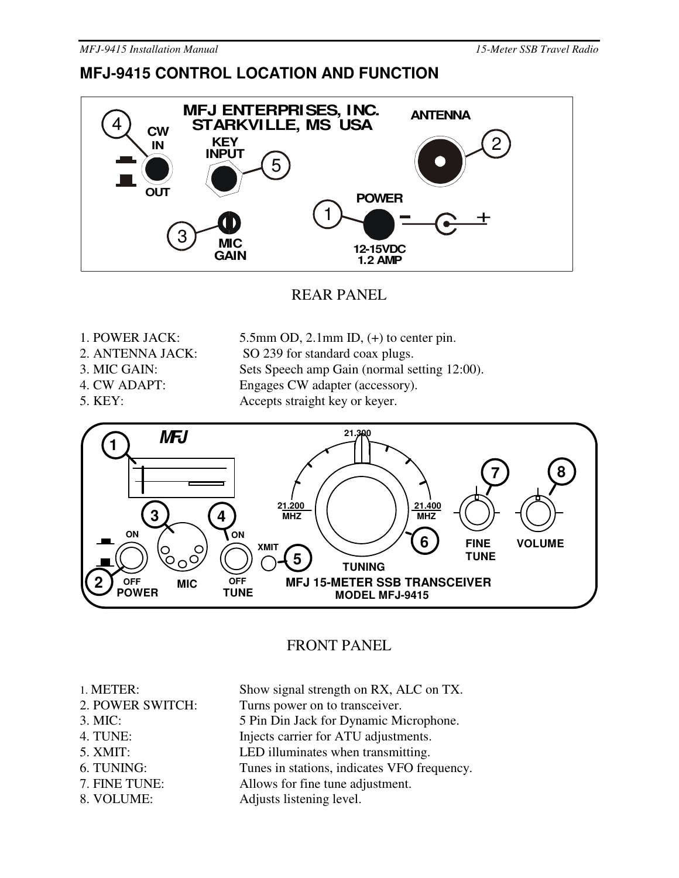## **MFJ-9415 CONTROL LOCATION AND FUNCTION**



REAR PANEL

- 1. POWER JACK: 5.5mm OD, 2.1mm ID, (+) to center pin.
- 
- 2. ANTENNA JACK: SO 239 for standard coax plugs.
- 
- 
- 
- 3. MIC GAIN: Sets Speech amp Gain (normal setting 12:00). 4. CW ADAPT: Engages CW adapter (accessory).
	-

5. KEY: Accepts straight key or keyer.



## FRONT PANEL

- 
- 
- 
- 
- 
- 
- 
- 
- 1. METER: Show signal strength on RX, ALC on TX. 2. POWER SWITCH: Turns power on to transceiver.
- 3. MIC: 5 Pin Din Jack for Dynamic Microphone.
- 4. TUNE: Injects carrier for ATU adjustments.
- 5. XMIT: LED illuminates when transmitting.
- 6. TUNING: Tunes in stations, indicates VFO frequency.
- 7. FINE TUNE: Allows for fine tune adjustment.
- 8. VOLUME: Adjusts listening level.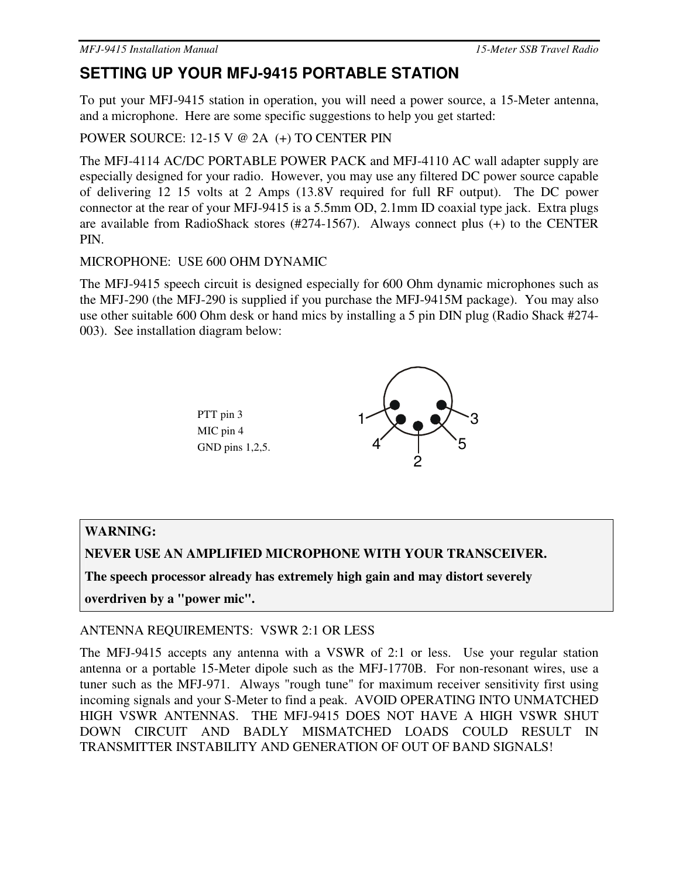## **SETTING UP YOUR MFJ-9415 PORTABLE STATION**

To put your MFJ-9415 station in operation, you will need a power source, a 15-Meter antenna, and a microphone. Here are some specific suggestions to help you get started:

POWER SOURCE: 12-15 V @ 2A (+) TO CENTER PIN

The MFJ-4114 AC/DC PORTABLE POWER PACK and MFJ-4110 AC wall adapter supply are especially designed for your radio. However, you may use any filtered DC power source capable of delivering 12 15 volts at 2 Amps (13.8V required for full RF output). The DC power connector at the rear of your MFJ-9415 is a 5.5mm OD, 2.1mm ID coaxial type jack. Extra plugs are available from RadioShack stores (#274-1567). Always connect plus (+) to the CENTER PIN.

### MICROPHONE: USE 600 OHM DYNAMIC

The MFJ-9415 speech circuit is designed especially for 600 Ohm dynamic microphones such as the MFJ-290 (the MFJ-290 is supplied if you purchase the MFJ-9415M package). You may also use other suitable 600 Ohm desk or hand mics by installing a 5 pin DIN plug (Radio Shack #274- 003). See installation diagram below:



## **WARNING:**

**NEVER USE AN AMPLIFIED MICROPHONE WITH YOUR TRANSCEIVER.** 

**The speech processor already has extremely high gain and may distort severely** 

**overdriven by a "power mic".** 

### ANTENNA REQUIREMENTS: VSWR 2:1 OR LESS

The MFJ-9415 accepts any antenna with a VSWR of 2:1 or less. Use your regular station antenna or a portable 15-Meter dipole such as the MFJ-1770B. For non-resonant wires, use a tuner such as the MFJ-971. Always "rough tune" for maximum receiver sensitivity first using incoming signals and your S-Meter to find a peak. AVOID OPERATING INTO UNMATCHED HIGH VSWR ANTENNAS. THE MFJ-9415 DOES NOT HAVE A HIGH VSWR SHUT DOWN CIRCUIT AND BADLY MISMATCHED LOADS COULD RESULT IN TRANSMITTER INSTABILITY AND GENERATION OF OUT OF BAND SIGNALS!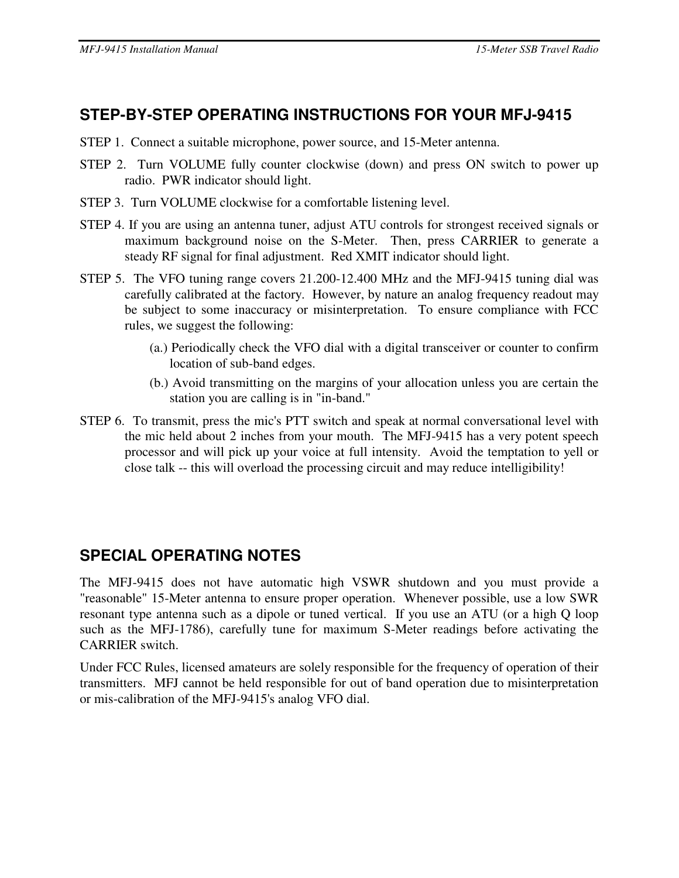# **STEP-BY-STEP OPERATING INSTRUCTIONS FOR YOUR MFJ-9415**

- STEP 1. Connect a suitable microphone, power source, and 15-Meter antenna.
- STEP 2. Turn VOLUME fully counter clockwise (down) and press ON switch to power up radio. PWR indicator should light.
- STEP 3. Turn VOLUME clockwise for a comfortable listening level.
- STEP 4. If you are using an antenna tuner, adjust ATU controls for strongest received signals or maximum background noise on the S-Meter. Then, press CARRIER to generate a steady RF signal for final adjustment. Red XMIT indicator should light.
- STEP 5. The VFO tuning range covers 21.200-12.400 MHz and the MFJ-9415 tuning dial was carefully calibrated at the factory. However, by nature an analog frequency readout may be subject to some inaccuracy or misinterpretation. To ensure compliance with FCC rules, we suggest the following:
	- (a.) Periodically check the VFO dial with a digital transceiver or counter to confirm location of sub-band edges.
	- (b.) Avoid transmitting on the margins of your allocation unless you are certain the station you are calling is in "in-band."
- STEP 6. To transmit, press the mic's PTT switch and speak at normal conversational level with the mic held about 2 inches from your mouth. The MFJ-9415 has a very potent speech processor and will pick up your voice at full intensity. Avoid the temptation to yell or close talk -- this will overload the processing circuit and may reduce intelligibility!

# **SPECIAL OPERATING NOTES**

The MFJ-9415 does not have automatic high VSWR shutdown and you must provide a "reasonable" 15-Meter antenna to ensure proper operation. Whenever possible, use a low SWR resonant type antenna such as a dipole or tuned vertical. If you use an ATU (or a high Q loop such as the MFJ-1786), carefully tune for maximum S-Meter readings before activating the CARRIER switch.

Under FCC Rules, licensed amateurs are solely responsible for the frequency of operation of their transmitters. MFJ cannot be held responsible for out of band operation due to misinterpretation or mis-calibration of the MFJ-9415's analog VFO dial.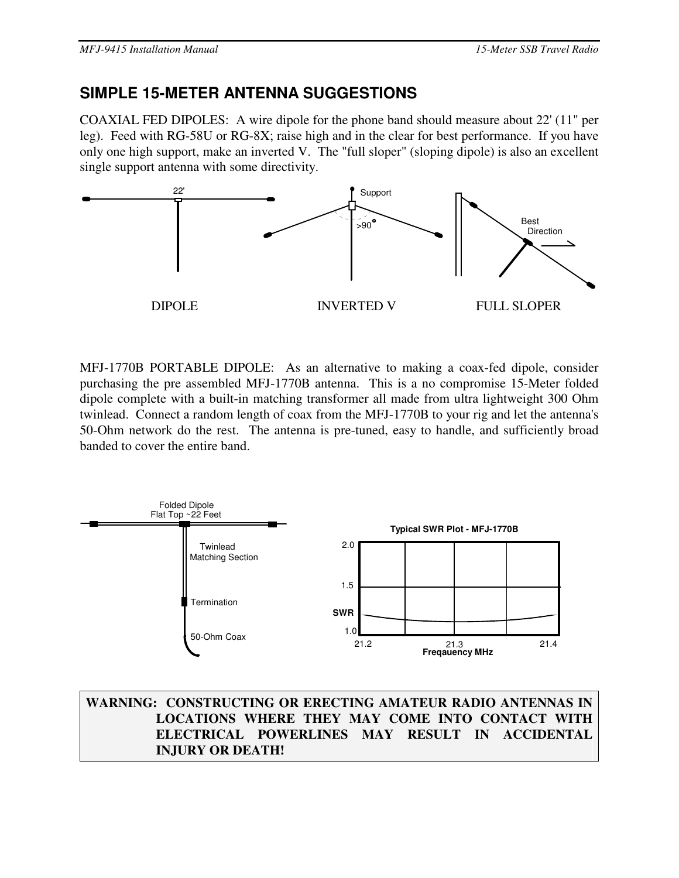# **SIMPLE 15-METER ANTENNA SUGGESTIONS**

COAXIAL FED DIPOLES: A wire dipole for the phone band should measure about 22' (11" per leg). Feed with RG-58U or RG-8X; raise high and in the clear for best performance. If you have only one high support, make an inverted V. The "full sloper" (sloping dipole) is also an excellent single support antenna with some directivity.



MFJ-1770B PORTABLE DIPOLE: As an alternative to making a coax-fed dipole, consider purchasing the pre assembled MFJ-1770B antenna. This is a no compromise 15-Meter folded dipole complete with a built-in matching transformer all made from ultra lightweight 300 Ohm twinlead. Connect a random length of coax from the MFJ-1770B to your rig and let the antenna's 50-Ohm network do the rest. The antenna is pre-tuned, easy to handle, and sufficiently broad banded to cover the entire band.



**WARNING: CONSTRUCTING OR ERECTING AMATEUR RADIO ANTENNAS IN LOCATIONS WHERE THEY MAY COME INTO CONTACT WITH ELECTRICAL POWERLINES MAY RESULT IN ACCIDENTAL INJURY OR DEATH!**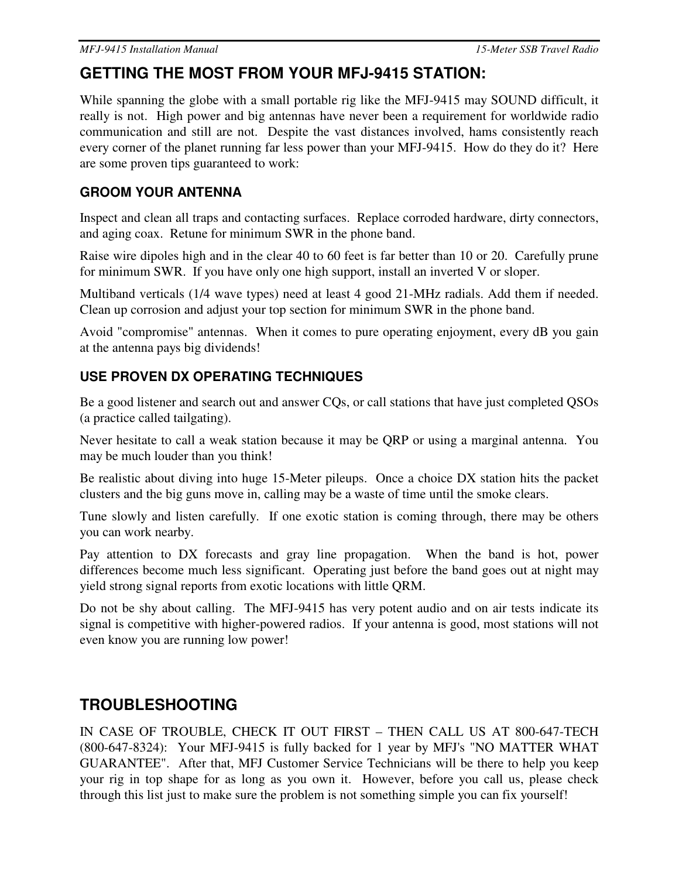# **GETTING THE MOST FROM YOUR MFJ-9415 STATION:**

While spanning the globe with a small portable rig like the MFJ-9415 may SOUND difficult, it really is not. High power and big antennas have never been a requirement for worldwide radio communication and still are not. Despite the vast distances involved, hams consistently reach every corner of the planet running far less power than your MFJ-9415. How do they do it? Here are some proven tips guaranteed to work:

## **GROOM YOUR ANTENNA**

Inspect and clean all traps and contacting surfaces. Replace corroded hardware, dirty connectors, and aging coax. Retune for minimum SWR in the phone band.

Raise wire dipoles high and in the clear 40 to 60 feet is far better than 10 or 20. Carefully prune for minimum SWR. If you have only one high support, install an inverted V or sloper.

Multiband verticals (1/4 wave types) need at least 4 good 21-MHz radials. Add them if needed. Clean up corrosion and adjust your top section for minimum SWR in the phone band.

Avoid "compromise" antennas. When it comes to pure operating enjoyment, every dB you gain at the antenna pays big dividends!

## **USE PROVEN DX OPERATING TECHNIQUES**

Be a good listener and search out and answer CQs, or call stations that have just completed QSOs (a practice called tailgating).

Never hesitate to call a weak station because it may be QRP or using a marginal antenna. You may be much louder than you think!

Be realistic about diving into huge 15-Meter pileups. Once a choice DX station hits the packet clusters and the big guns move in, calling may be a waste of time until the smoke clears.

Tune slowly and listen carefully. If one exotic station is coming through, there may be others you can work nearby.

Pay attention to DX forecasts and gray line propagation. When the band is hot, power differences become much less significant. Operating just before the band goes out at night may yield strong signal reports from exotic locations with little QRM.

Do not be shy about calling. The MFJ-9415 has very potent audio and on air tests indicate its signal is competitive with higher-powered radios. If your antenna is good, most stations will not even know you are running low power!

## **TROUBLESHOOTING**

IN CASE OF TROUBLE, CHECK IT OUT FIRST – THEN CALL US AT 800-647-TECH (800-647-8324): Your MFJ-9415 is fully backed for 1 year by MFJ's "NO MATTER WHAT GUARANTEE". After that, MFJ Customer Service Technicians will be there to help you keep your rig in top shape for as long as you own it. However, before you call us, please check through this list just to make sure the problem is not something simple you can fix yourself!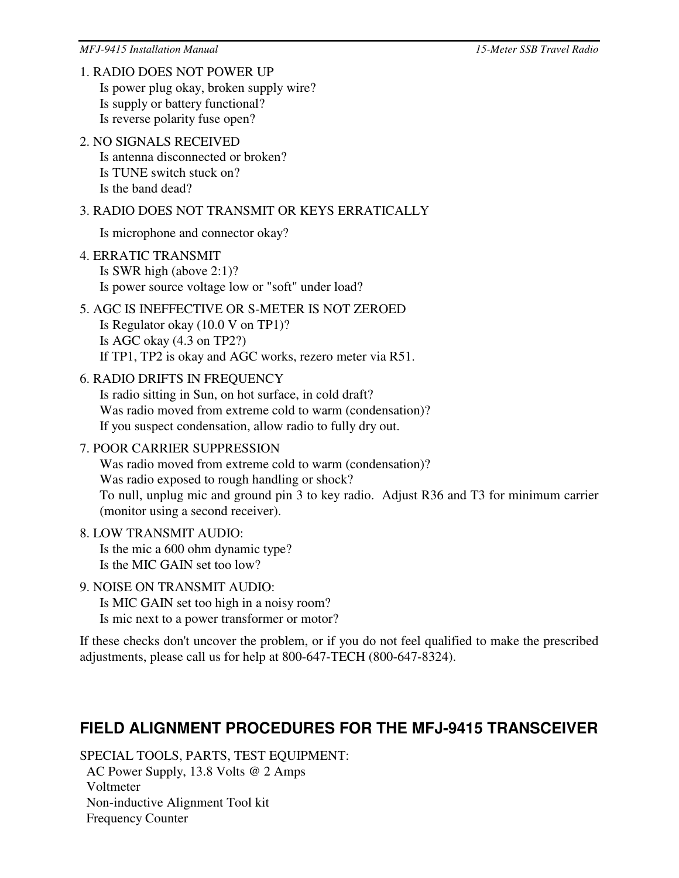### 1. RADIO DOES NOT POWER UP

Is power plug okay, broken supply wire? Is supply or battery functional? Is reverse polarity fuse open?

# 2. NO SIGNALS RECEIVED

Is antenna disconnected or broken? Is TUNE switch stuck on? Is the band dead?

## 3. RADIO DOES NOT TRANSMIT OR KEYS ERRATICALLY

Is microphone and connector okay?

### 4. ERRATIC TRANSMIT Is SWR high (above 2:1)? Is power source voltage low or "soft" under load?

## 5. AGC IS INEFFECTIVE OR S-METER IS NOT ZEROED Is Regulator okay (10.0 V on TP1)? Is AGC okay (4.3 on TP2?) If TP1, TP2 is okay and AGC works, rezero meter via R51.

### 6. RADIO DRIFTS IN FREQUENCY

Is radio sitting in Sun, on hot surface, in cold draft? Was radio moved from extreme cold to warm (condensation)? If you suspect condensation, allow radio to fully dry out.

### 7. POOR CARRIER SUPPRESSION

Was radio moved from extreme cold to warm (condensation)? Was radio exposed to rough handling or shock? To null, unplug mic and ground pin 3 to key radio. Adjust R36 and T3 for minimum carrier (monitor using a second receiver).

#### 8. LOW TRANSMIT AUDIO: Is the mic a 600 ohm dynamic type? Is the MIC GAIN set too low?

### 9. NOISE ON TRANSMIT AUDIO:

Is MIC GAIN set too high in a noisy room? Is mic next to a power transformer or motor?

If these checks don't uncover the problem, or if you do not feel qualified to make the prescribed adjustments, please call us for help at 800-647-TECH (800-647-8324).

## **FIELD ALIGNMENT PROCEDURES FOR THE MFJ-9415 TRANSCEIVER**

SPECIAL TOOLS, PARTS, TEST EQUIPMENT: AC Power Supply, 13.8 Volts @ 2 Amps Voltmeter Non-inductive Alignment Tool kit Frequency Counter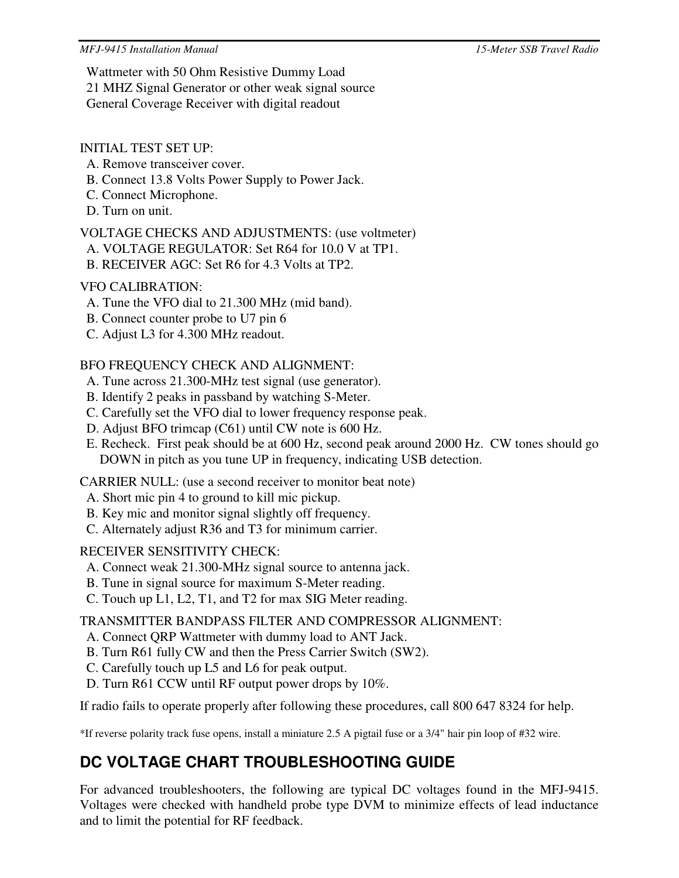Wattmeter with 50 Ohm Resistive Dummy Load 21 MHZ Signal Generator or other weak signal source General Coverage Receiver with digital readout

### INITIAL TEST SET UP:

- A. Remove transceiver cover.
- B. Connect 13.8 Volts Power Supply to Power Jack.
- C. Connect Microphone.
- D. Turn on unit.

VOLTAGE CHECKS AND ADJUSTMENTS: (use voltmeter)

- A. VOLTAGE REGULATOR: Set R64 for 10.0 V at TP1.
- B. RECEIVER AGC: Set R6 for 4.3 Volts at TP2.

## VFO CALIBRATION:

- A. Tune the VFO dial to 21.300 MHz (mid band).
- B. Connect counter probe to U7 pin 6
- C. Adjust L3 for 4.300 MHz readout.

### BFO FREQUENCY CHECK AND ALIGNMENT:

- A. Tune across 21.300-MHz test signal (use generator).
- B. Identify 2 peaks in passband by watching S-Meter.
- C. Carefully set the VFO dial to lower frequency response peak.
- D. Adjust BFO trimcap (C61) until CW note is 600 Hz.
- E. Recheck. First peak should be at 600 Hz, second peak around 2000 Hz. CW tones should go DOWN in pitch as you tune UP in frequency, indicating USB detection.

CARRIER NULL: (use a second receiver to monitor beat note)

- A. Short mic pin 4 to ground to kill mic pickup.
- B. Key mic and monitor signal slightly off frequency.
- C. Alternately adjust R36 and T3 for minimum carrier.

## RECEIVER SENSITIVITY CHECK:

- A. Connect weak 21.300-MHz signal source to antenna jack.
- B. Tune in signal source for maximum S-Meter reading.
- C. Touch up L1, L2, T1, and T2 for max SIG Meter reading.

## TRANSMITTER BANDPASS FILTER AND COMPRESSOR ALIGNMENT:

- A. Connect QRP Wattmeter with dummy load to ANT Jack.
- B. Turn R61 fully CW and then the Press Carrier Switch (SW2).
- C. Carefully touch up L5 and L6 for peak output.
- D. Turn R61 CCW until RF output power drops by 10%.

If radio fails to operate properly after following these procedures, call 800 647 8324 for help.

\*If reverse polarity track fuse opens, install a miniature 2.5 A pigtail fuse or a 3/4" hair pin loop of #32 wire.

# **DC VOLTAGE CHART TROUBLESHOOTING GUIDE**

For advanced troubleshooters, the following are typical DC voltages found in the MFJ-9415. Voltages were checked with handheld probe type DVM to minimize effects of lead inductance and to limit the potential for RF feedback.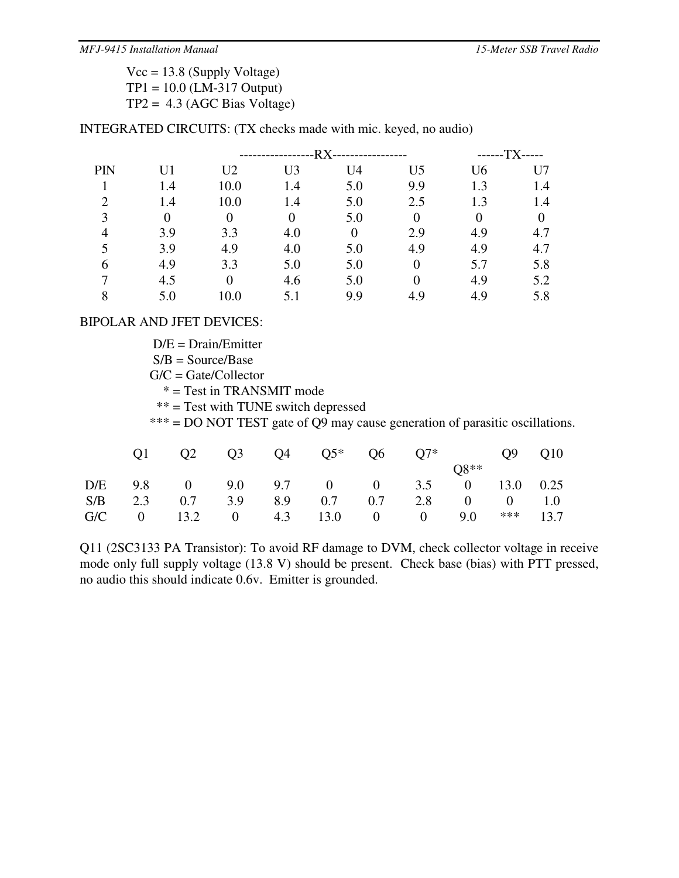$Vcc = 13.8$  (Supply Voltage) TP1 = 10.0 (LM-317 Output)  $TP2 = 4.3$  (AGC Bias Voltage)

INTEGRATED CIRCUITS: (TX checks made with mic. keyed, no audio)

|     |                |                | -RX-<br>--------------- |                |                |                | -TX-<br>$---$  |  |
|-----|----------------|----------------|-------------------------|----------------|----------------|----------------|----------------|--|
| PIN | U <sub>1</sub> | U <sub>2</sub> | U <sub>3</sub>          | U <sub>4</sub> | U <sub>5</sub> | U <sub>6</sub> | U7             |  |
|     | 1.4            | 10.0           | 1.4                     | 5.0            | 9.9            | 1.3            | 1.4            |  |
|     | 1.4            | 10.0           | 1.4                     | 5.0            | 2.5            | 1.3            | 1.4            |  |
| 3   | $\theta$       | 0              | $\theta$                | 5.0            | $\theta$       |                | $\overline{0}$ |  |
|     | 3.9            | 3.3            | 4.0                     | $\overline{0}$ | 2.9            | 4.9            | 4.7            |  |
|     | 3.9            | 4.9            | 4.0                     | 5.0            | 4.9            | 4.9            | 4.7            |  |
| 6   | 4.9            | 3.3            | 5.0                     | 5.0            | $\theta$       | 5.7            | 5.8            |  |
|     | 4.5            |                | 4.6                     | 5.0            |                | 4.9            | 5.2            |  |
|     | 5.0            |                |                         | 9.9            | 4.9            | 4.9            | 5.8            |  |

### BIPOLAR AND JFET DEVICES:

 $D/E = Drain/Emitter$ 

 $S/B = Source/Base$ 

 $G/C =$  Gate/Collector

\* = Test in TRANSMIT mode

\*\* = Test with TUNE switch depressed

\*\*\* = DO NOT TEST gate of Q9 may cause generation of parasitic oscillations.

|  |  | $Q2 \t Q3 \t Q4 \t Q5^* \t Q6 \t Q7^* \t Q9 \t Q10$ |  |        |  |
|--|--|-----------------------------------------------------|--|--------|--|
|  |  |                                                     |  | $O8**$ |  |
|  |  | D/E 9.8 0 9.0 9.7 0 0 3.5 0 13.0 0.25               |  |        |  |
|  |  | S/B 2.3 0.7 3.9 8.9 0.7 0.7 2.8 0 0 1.0             |  |        |  |
|  |  | G/C 0 13.2 0 4.3 13.0 0 0 9.0 *** 13.7              |  |        |  |

Q11 (2SC3133 PA Transistor): To avoid RF damage to DVM, check collector voltage in receive mode only full supply voltage (13.8 V) should be present. Check base (bias) with PTT pressed, no audio this should indicate 0.6v. Emitter is grounded.